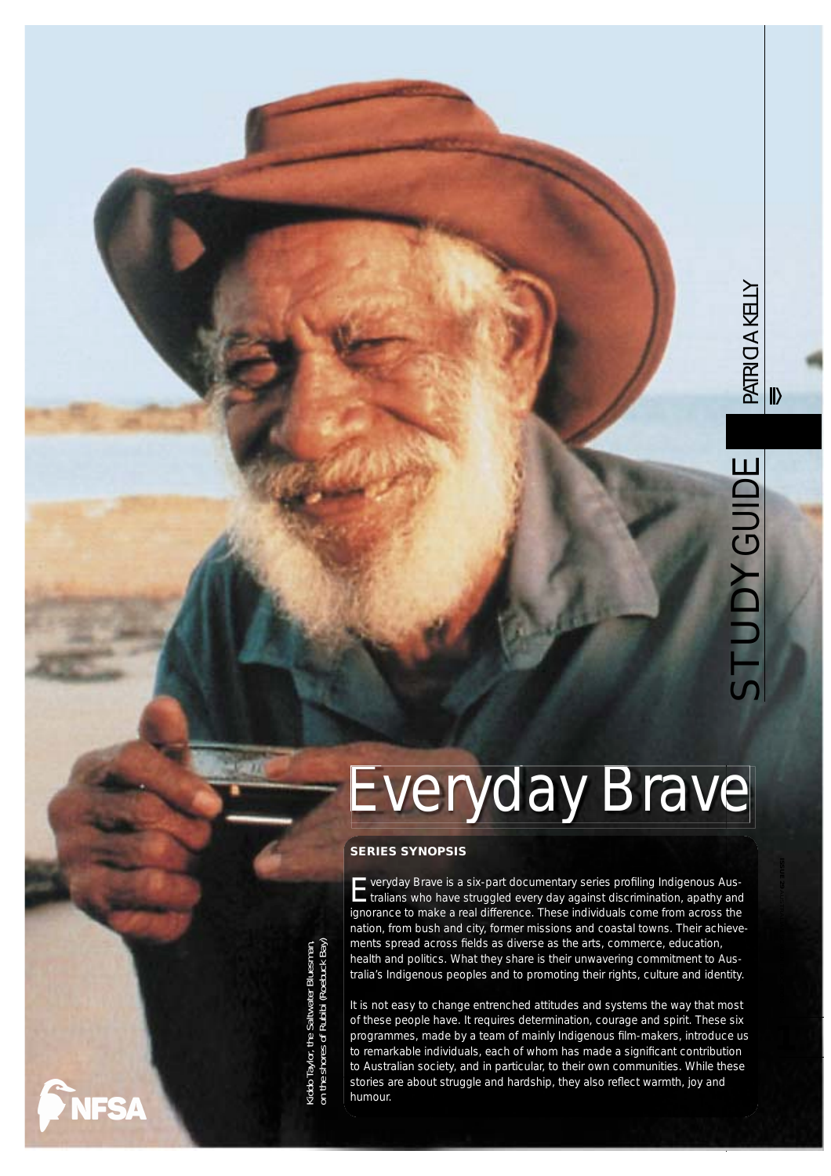# Everyday Brave

#### **SERIES SYNOPSIS**

**E** veryday Brave is a six-part documentary series profiling Indigenous Aus-<br>tralians who have struggled every day against discrimination, apathy and ignorance to make a real difference. These individuals come from across the nation, from bush and city, former missions and coastal towns. Their achievements spread across fields as diverse as the arts, commerce, education, health and politics. What they share is their unwavering commitment to Australia's Indigenous peoples and to promoting their rights, culture and identity.

It is not easy to change entrenched attitudes and systems the way that most of these people have. It requires determination, courage and spirit. These six programmes, made by a team of mainly Indigenous film-makers, introduce us to remarkable individuals, each of whom has made a significant contribution to Australian society, and in particular, to their own communities. While these stories are about struggle and hardship, they also reflect warmth, joy and humour.

on the shores of Rubibi (Roebuck Bay) Kiddo Taylor, the Saltwater Bluesman, Kiddo Taylor, the Saltwater Bluesman<br>on the shores of Rubibi (Roebuck Bay

**NFSA**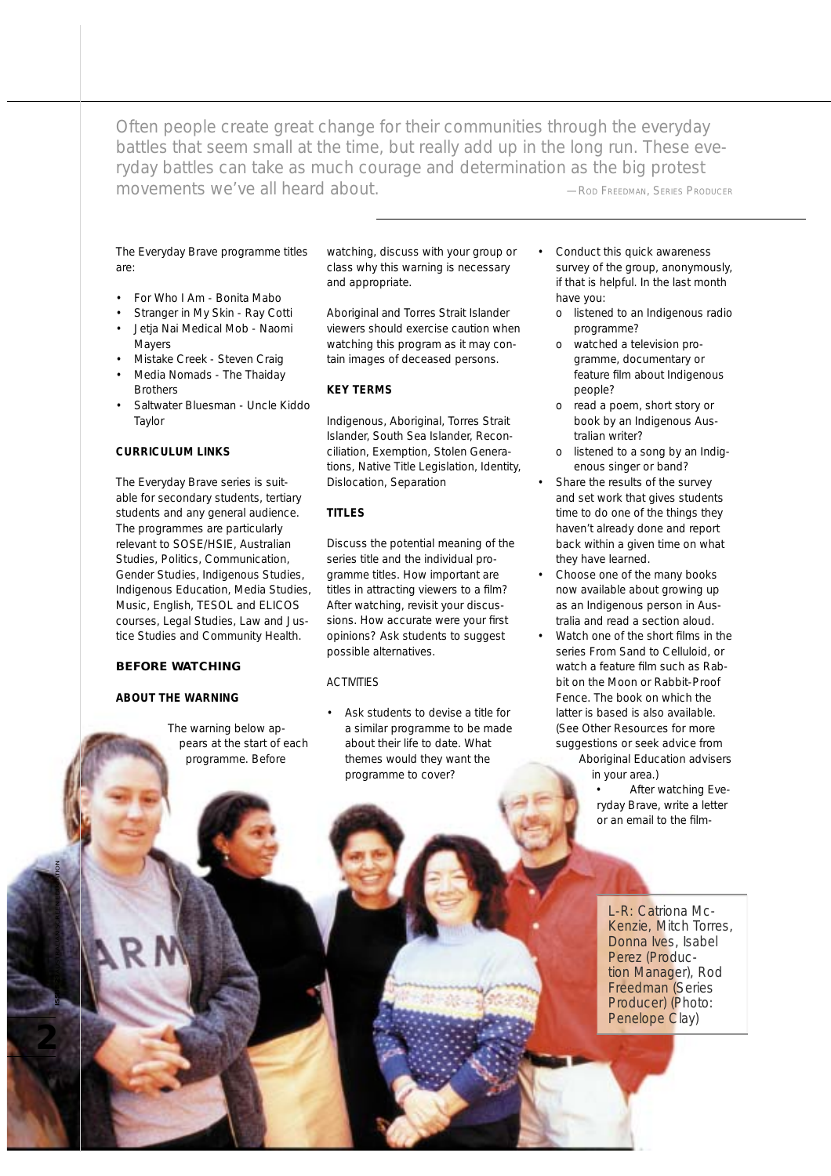*Often people create great change for their communities through the everyday battles that seem small at the time, but really add up in the long run. These everyday battles can take as much courage and determination as the big protest movements we've all heard about.* **CONDERGY ARE ARRIVE ARRIVAL ARRIVERY ARRIVER —ROD FREEDMAN, SERIES PRODUCER** 

# The *Everyday Brave* programme titles are:

- *• For Who I Am Bonita Mabo*
- *• Stranger in My Skin* - *Ray Cotti • Jetja Nai Medical Mob - Naomi*
- *Mayers*
- *• Mistake Creek Steven Craig*
- *Media Nomads The Thaiday Brothers*
- *Saltwater Bluesman Uncle Kiddo Taylor*

# **CURRICULUM LINKS**

The *Everyday Brave* series is suitable for secondary students, tertiary students and any general audience. The programmes are particularly relevant to SOSE/HSIE, Australian Studies, Politics, Communication, Gender Studies, Indigenous Studies, Indigenous Education, Media Studies, Music, English, TESOL and ELICOS courses, Legal Studies, Law and Justice Studies and Community Health.

# **BEFORE WATCHING**

#### **ABOUT THE WARNING**

**2ISSUE 29** AUSTRALIAN SCREEN EDUCATION

The warning below appears at the start of each programme. Before

watching, discuss with your group or class why this warning is necessary and appropriate.

*Aboriginal and Torres Strait Islander viewers should exercise caution when watching this program as it may contain images of deceased persons.*

# **KEY TERMS**

Indigenous, Aboriginal, Torres Strait Islander, South Sea Islander, Reconciliation, Exemption, Stolen Generations, Native Title Legislation, Identity, Dislocation, Separation

# **TITLES**

Discuss the potential meaning of the series title and the individual programme titles. How important are titles in attracting viewers to a film? After watching, revisit your discussions. How accurate were your first opinions? Ask students to suggest possible alternatives.

#### **ACTIVITIES**

Ask students to devise a title for a similar programme to be made about their life to date. What themes would they want the programme to cover?

- Conduct this quick awareness survey of the group, anonymously, if that is helpful. In the last month have you:
	- o listened to an Indigenous radio programme?
	- o watched a television programme, documentary or feature film about Indigenous people?
	- o read a poem, short story or book by an Indigenous Australian writer?
	- o listened to a song by an Indigenous singer or band?
- Share the results of the survey and set work that gives students time to do one of the things they haven't already done and report back within a given time on what they have learned.
- Choose one of the many books now available about growing up as an Indigenous person in Australia and read a section aloud.
- Watch one of the short films in the series *From Sand to Celluloid*, or watch a feature film such as *Rabbit on the Moon* or *Rabbit-Proof Fence*. The book on which the latter is based is also available. (See Other Resources for more suggestions or seek advice from
	- Aboriginal Education advisers in your area.)
		- After watching *Everyday Brave*, write a letter or an email to the film-

L-R: Catriona Mc-Kenzie, Mitch Torres, Donna Ives, Isabel Perez (Production Manager), Rod Freedman (Series Producer) (Photo: Penelope Clay)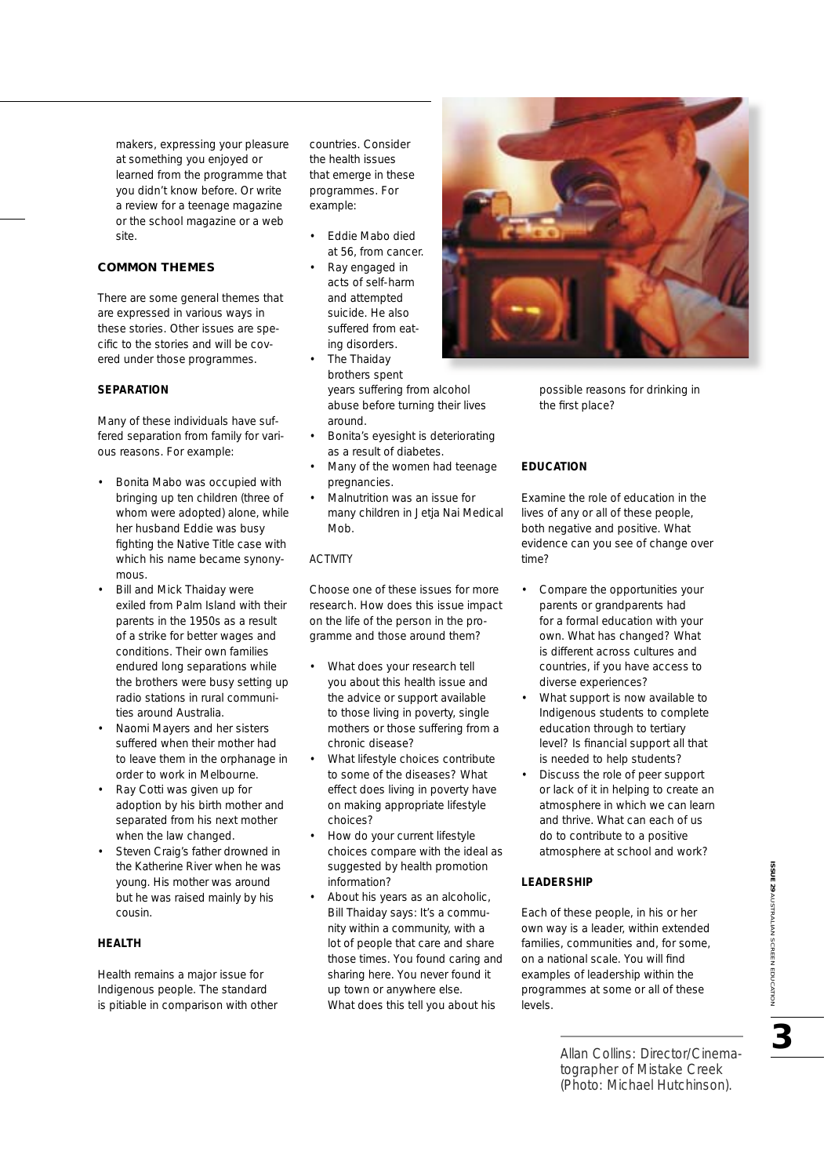makers, expressing your pleasure at something you enjoyed or learned from the programme that you didn't know before. Or write a review for a teenage magazine or the school magazine or a web site.

# **COMMON THEMES**

There are some general themes that are expressed in various ways in these stories. Other issues are specific to the stories and will be covered under those programmes.

# **SEPARATION**

Many of these individuals have suffered separation from family for various reasons. For example:

- Bonita Mabo was occupied with bringing up ten children (three of whom were adopted) alone, while her husband Eddie was busy fighting the Native Title case with which his name became synonymous.
- Bill and Mick Thaiday were exiled from Palm Island with their parents in the 1950s as a result of a strike for better wages and conditions. Their own families endured long separations while the brothers were busy setting up radio stations in rural communities around Australia.
- Naomi Mayers and her sisters suffered when their mother had to leave them in the orphanage in order to work in Melbourne.
- Ray Cotti was given up for adoption by his birth mother and separated from his next mother when the law changed.
- Steven Craig's father drowned in the Katherine River when he was young. His mother was around but he was raised mainly by his cousin.

#### **HEALTH**

Health remains a major issue for Indigenous people. The standard is pitiable in comparison with other countries. Consider the health issues that emerge in these programmes. For example:

- Eddie Mabo died at 56, from cancer.
- Ray engaged in acts of self-harm and attempted suicide. He also suffered from eating disorders.
- The Thaiday brothers spent years suffering from alcohol abuse before turning their lives around.
- Bonita's eyesight is deteriorating as a result of diabetes.
- Many of the women had teenage pregnancies.
- Malnutrition was an issue for many children in *Jetja Nai Medical Mob.*

# ACTIVITY

Choose one of these issues for more research. How does this issue impact on the life of the person in the programme and those around them?

- What does your research tell you about this health issue and the advice or support available to those living in poverty, single mothers or those suffering from a chronic disease?
- What lifestyle choices contribute to some of the diseases? What effect does living in poverty have on making appropriate lifestyle choices?
- How do your current lifestyle choices compare with the ideal as suggested by health promotion information?
- About his years as an alcoholic, Bill Thaiday says: *It's a community within a community, with a lot of people that care and share those times. You found caring and sharing here. You never found it up town or anywhere else.* What does this tell you about his



possible reasons for drinking in the first place?

# **EDUCATION**

Examine the role of education in the lives of any or all of these people, both negative and positive. What evidence can you see of change over time?

- Compare the opportunities your parents or grandparents had for a formal education with your own. What has changed? What is different across cultures and countries, if you have access to diverse experiences?
- What support is now available to Indigenous students to complete education through to tertiary level? Is financial support all that is needed to help students?
- Discuss the role of peer support or lack of it in helping to create an atmosphere in which we can learn and thrive. What can each of us do to contribute to a positive atmosphere at school and work?

#### **LEADERSHIP**

Each of these people, in his or her own way is a leader, within extended families, communities and, for some, on a national scale. You will find examples of leadership within the programmes at some or all of these levels.

> Allan Collins: Director/Cinematographer of *Mistake Creek* (Photo: Michael Hutchinson).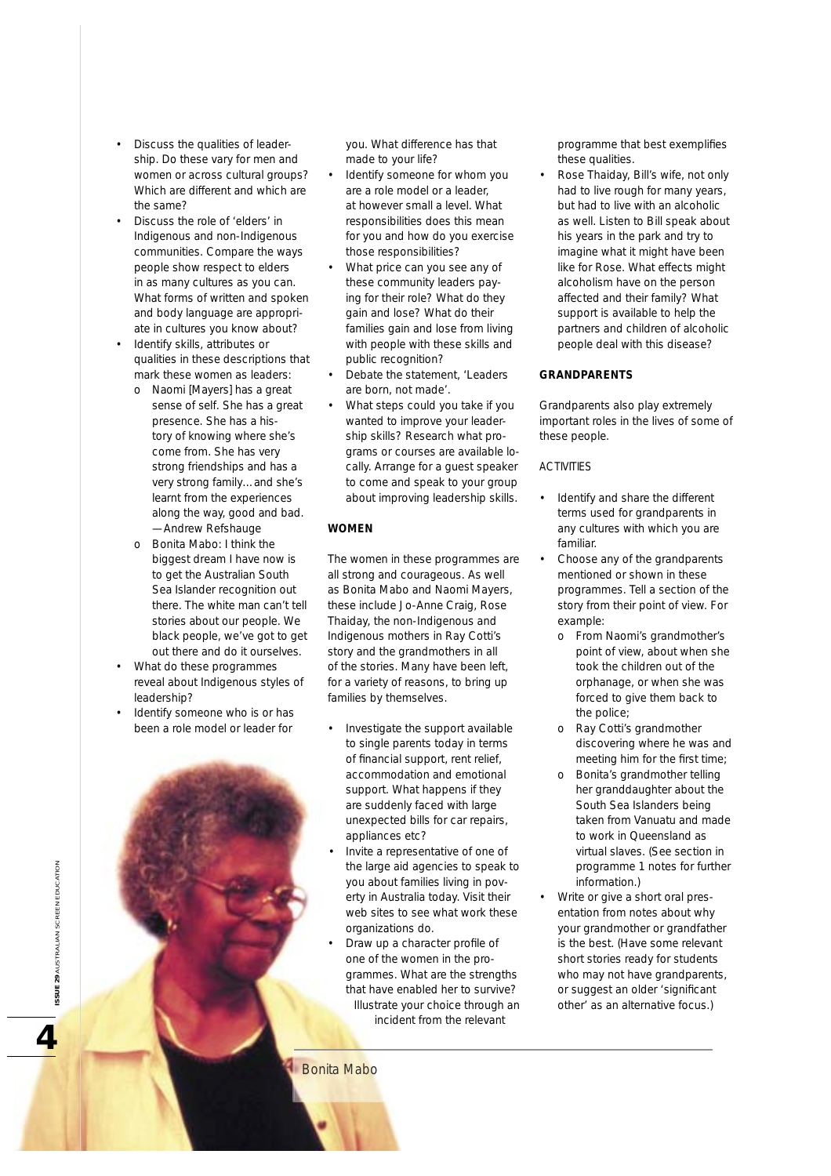- Discuss the qualities of leadership. Do these vary for men and women or across cultural groups? Which are different and which are the same?
- Discuss the role of 'elders' in Indigenous and non-Indigenous communities. Compare the ways people show respect to elders in as many cultures as you can. What forms of written and spoken and body language are appropriate in cultures you know about? • Identify skills, attributes or
- qualities in these descriptions that mark these women as leaders:
	- *o Naomi [Mayers] has a great sense of self. She has a great presence. She has a history of knowing where she's come from. She has very strong friendships and has a very strong family…and she's learnt from the experiences along the way, good and bad.* —Andrew Refshauge
	- o Bonita Mabo: *I think the biggest dream I have now is to get the Australian South Sea Islander recognition out there. The white man can't tell stories about our people. We black people, we've got to get out there and do it ourselves.*
- What do these programmes reveal about Indigenous styles of leadership?
- Identify someone who is or has been a role model or leader for

you. What difference has that made to your life?

- Identify someone for whom you are a role model or a leader, at however small a level. What responsibilities does this mean for you and how do you exercise those responsibilities?
- What price can you see any of these community leaders paying for their role? What do they gain and lose? What do their families gain and lose from living with people with these skills and public recognition?
- Debate the statement, 'Leaders are born, not made'.
- What steps could you take if you wanted to improve your leadership skills? Research what programs or courses are available locally. Arrange for a guest speaker to come and speak to your group about improving leadership skills.

#### **WOMEN**

The women in these programmes are all strong and courageous. As well as Bonita Mabo and Naomi Mayers, these include Jo-Anne Craig, Rose Thaiday, the non-Indigenous and Indigenous mothers in Ray Cotti's story and the grandmothers in all of the stories. Many have been left, for a variety of reasons, to bring up families by themselves.

- Investigate the support available to single parents today in terms of financial support, rent relief, accommodation and emotional support. What happens if they are suddenly faced with large unexpected bills for car repairs, appliances etc?
- Invite a representative of one of the large aid agencies to speak to you about families living in poverty in Australia today. Visit their web sites to see what work these organizations do.
- Draw up a character profile of one of the women in the programmes. What are the strengths that have enabled her to survive? Illustrate your choice through an incident from the relevant

Bonita Mabo

programme that best exemplifies these qualities.

• Rose Thaiday, Bill's wife, not only had to live rough for many years, but had to live with an alcoholic as well. Listen to Bill speak about his years in the park and try to imagine what it might have been like for Rose. What effects might alcoholism have on the person affected and their family? What support is available to help the partners and children of alcoholic people deal with this disease?

# **GRANDPARENTS**

Grandparents also play extremely important roles in the lives of some of these people.

# ACTIVITIES

- Identify and share the different terms used for grandparents in any cultures with which you are familiar.
- Choose any of the grandparents mentioned or shown in these programmes. Tell a section of the story from their point of view. For example:
	- o From Naomi's grandmother's point of view, about when she took the children out of the orphanage, or when she was forced to give them back to the police;
	- o Ray Cotti's grandmother discovering where he was and meeting him for the first time;
	- o Bonita's grandmother telling her granddaughter about the South Sea Islanders being taken from Vanuatu and made to work in Queensland as virtual slaves. (See section in programme 1 notes for further information.)
- Write or give a short oral presentation from notes about why your grandmother or grandfather is the best. (Have some relevant short stories ready for students who may not have grandparents, or suggest an older 'significant other' as an alternative focus.)

# **ISSUE 29 AUSTRALIAN SCREEN EDUCATION** AUSTRALIAN SCREEN EDUCATION **SC 3115 SO**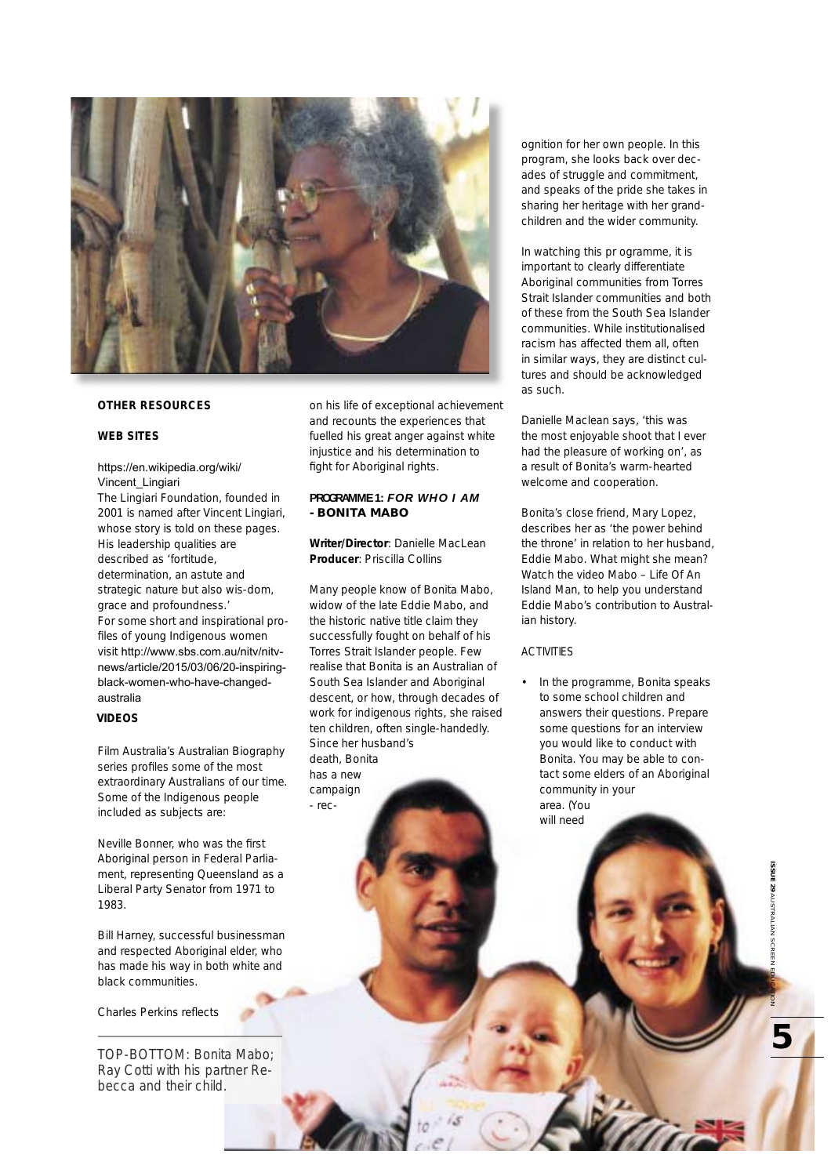

## **OTHER RESOURCES**

#### **WEB SITES**

#### https://en.wikipedia.org/wiki/ Vincent\_Lingiari

The Lingiari Foundation, founded in 2001 is named after Vincent Lingiari, whose story is told on these pages. His leadership qualities are described as 'fortitude, determination, an astute and strategic nature but also wis-dom, grace and profoundness.' For some short and inspirational profiles of young Indigenous women visit http://www.sbs.com.au/nitv/nitvnews/article/2015/03/06/20-inspiringblack-women-who-have-changedaustralia

# **VIDEOS**

Film Australia's *Australian Biography* series profiles some of the most extraordinary Australians of our time. Some of the Indigenous people included as subjects are:

Neville Bonner, who was the first Aboriginal person in Federal Parliament, representing Queensland as a Liberal Party Senator from 1971 to 1983.

Bill Harney, successful businessman and respected Aboriginal elder, who has made his way in both white and black communities.

#### Charles Perkins reflects

TOP-BOTTOM: Bonita Mabo; Ray Cotti with his partner Rebecca and their child.

on his life of exceptional achievement and recounts the experiences that fuelled his great anger against white injustice and his determination to fight for Aboriginal rights.

# **PROGRAMME 1:** *FOR WHO I AM* **- BONITA MABO**

**Writer/Director**: Danielle MacLean **Producer**: Priscilla Collins

Many people know of Bonita Mabo, widow of the late Eddie Mabo, and the historic native title claim they successfully fought on behalf of his Torres Strait Islander people. Few realise that Bonita is an Australian of South Sea Islander and Aboriginal descent, or how, through decades of work for indigenous rights, she raised ten children, often single-handedly. Since her husband's death, Bonita has a new campaign - recognition for her own people. In this program, she looks back over decades of struggle and commitment, and speaks of the pride she takes in sharing her heritage with her grandchildren and the wider community.

In watching this pr ogramme, it is important to clearly differentiate Aboriginal communities from Torres Strait Islander communities and both of these from the South Sea Islander communities. While institutionalised racism has affected them all, often in similar ways, they are distinct cultures and should be acknowledged as such.

Danielle Maclean says, 'this was the most enjoyable shoot that I ever had the pleasure of working on', as a result of Bonita's warm-hearted welcome and cooperation.

Bonita's close friend, Mary Lopez, describes her as 'the power behind the throne' in relation to her husband, Eddie Mabo. What might she mean? Watch the video *Mabo – Life Of An Island Man,* to help you understand Eddie Mabo's contribution to Australian history.

#### ACTIVITIES

• In the programme, Bonita speaks to some school children and answers their questions. Prepare some questions for an interview you would like to conduct with Bonita. You may be able to contact some elders of an Aboriginal community in your area. (You will need

**5**

**SSUE 29 AUSTRALIAN SCREI ISSUE 29** AUSTRALIAN SCREEN EDUCATION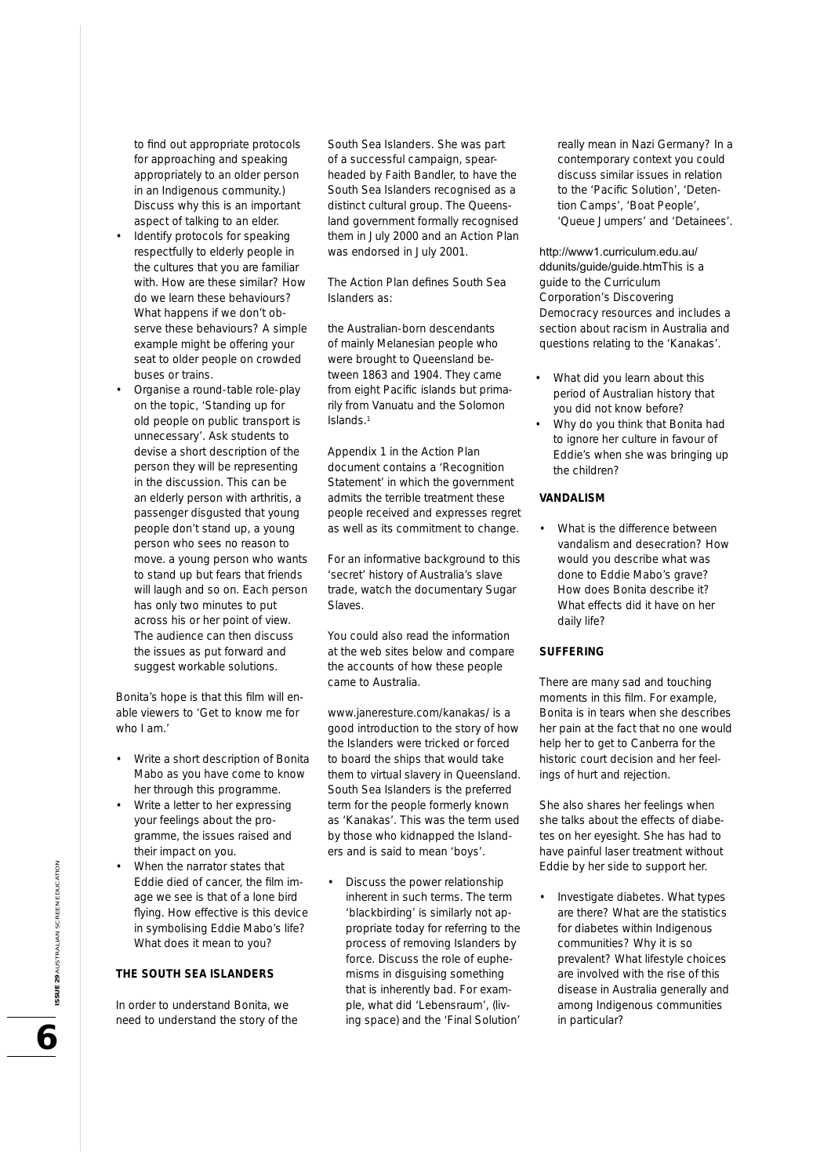to find out appropriate protocols for approaching and speaking appropriately to an older person in an Indigenous community.) Discuss why this is an important aspect of talking to an elder. Identify protocols for speaking respectfully to elderly people in the cultures that you are familiar with. How are these similar? How do we learn these behaviours? What happens if we don't observe these behaviours? A simple example might be offering your seat to older people on crowded buses or trains.

• Organise a round-table role-play on the topic, 'Standing up for old people on public transport is unnecessary'. Ask students to devise a short description of the person they will be representing in the discussion. This can be an elderly person with arthritis, a passenger disgusted that young people don't stand up, a young person who sees no reason to move. a young person who wants to stand up but fears that friends will laugh and so on. Each person has only two minutes to put across his or her point of view. The audience can then discuss the issues as put forward and suggest workable solutions.

Bonita's hope is that this film will enable viewers to 'Get to know me for who I am.'

- Write a short description of Bonita Mabo as you have come to know her through this programme.
- Write a letter to her expressing your feelings about the programme, the issues raised and their impact on you.
- When the narrator states that Eddie died of cancer, the film image we see is that of a lone bird flying. How effective is this device in symbolising Eddie Mabo's life? What does it mean to you?

# **THE SOUTH SEA ISLANDERS**

In order to understand Bonita, we need to understand the story of the South Sea Islanders. She was part of a successful campaign, spearheaded by Faith Bandler, to have the South Sea Islanders recognised as a distinct cultural group. The Queensland government formally recognised them in July 2000 and an Action Plan was endorsed in July 2001.

The Action Plan defines South Sea Islanders as:

*the Australian-born descendants of mainly Melanesian people who were brought to Queensland between 1863 and 1904. They came*  from eight Pacific islands but prima*rily from Vanuatu and the Solomon Islands*. 1

Appendix 1 in the Action Plan document contains a 'Recognition Statement' in which the government admits the terrible treatment these people received and expresses regret as well as its commitment to change.

For an informative background to this 'secret' history of Australia's slave trade, watch the documentary *Sugar Slaves*.

You could also read the information at the web sites below and compare the accounts of how these people came to Australia.

www.janeresture.com/kanakas/ is a good introduction to the story of how the Islanders were tricked or forced to board the ships that would take them to virtual slavery in Queensland. South Sea Islanders is the preferred term for the people formerly known as 'Kanakas'. This was the term used by those who kidnapped the Islanders and is said to mean 'boys'.

• Discuss the power relationship inherent in such terms. The term 'blackbirding' is similarly not appropriate today for referring to the process of removing Islanders by force. Discuss the role of euphemisms in disguising something that is inherently bad. For example, what did 'Lebensraum', (living space) and the 'Final Solution' really mean in Nazi Germany? In a contemporary context you could discuss similar issues in relation to the 'Pacific Solution', 'Detention Camps', 'Boat People', 'Queue Jumpers' and 'Detainees'.

http://www1.curriculum.edu.au/ ddunits/guide/guide.htmThis is a guide to the Curriculum Corporation's Discovering Democracy resources and includes a section about racism in Australia and questions relating to the 'Kanakas'.

- What did you learn about this period of Australian history that you did not know before?
- Why do you think that Bonita had to ignore her culture in favour of Eddie's when she was bringing up the children?

#### **VANDALISM**

What is the difference between vandalism and desecration? How would you describe what was done to Eddie Mabo's grave? How does Bonita describe it? What effects did it have on her daily life?

#### **SUFFERING**

There are many sad and touching moments in this film. For example, Bonita is in tears when she describes her pain at the fact that no one would help her to get to Canberra for the historic court decision and her feelings of hurt and rejection.

She also shares her feelings when she talks about the effects of diabetes on her eyesight. She has had to have painful laser treatment without Eddie by her side to support her.

• Investigate diabetes. What types are there? What are the statistics for diabetes within Indigenous communities? Why it is so prevalent? What lifestyle choices are involved with the rise of this disease in Australia generally and among Indigenous communities in particular?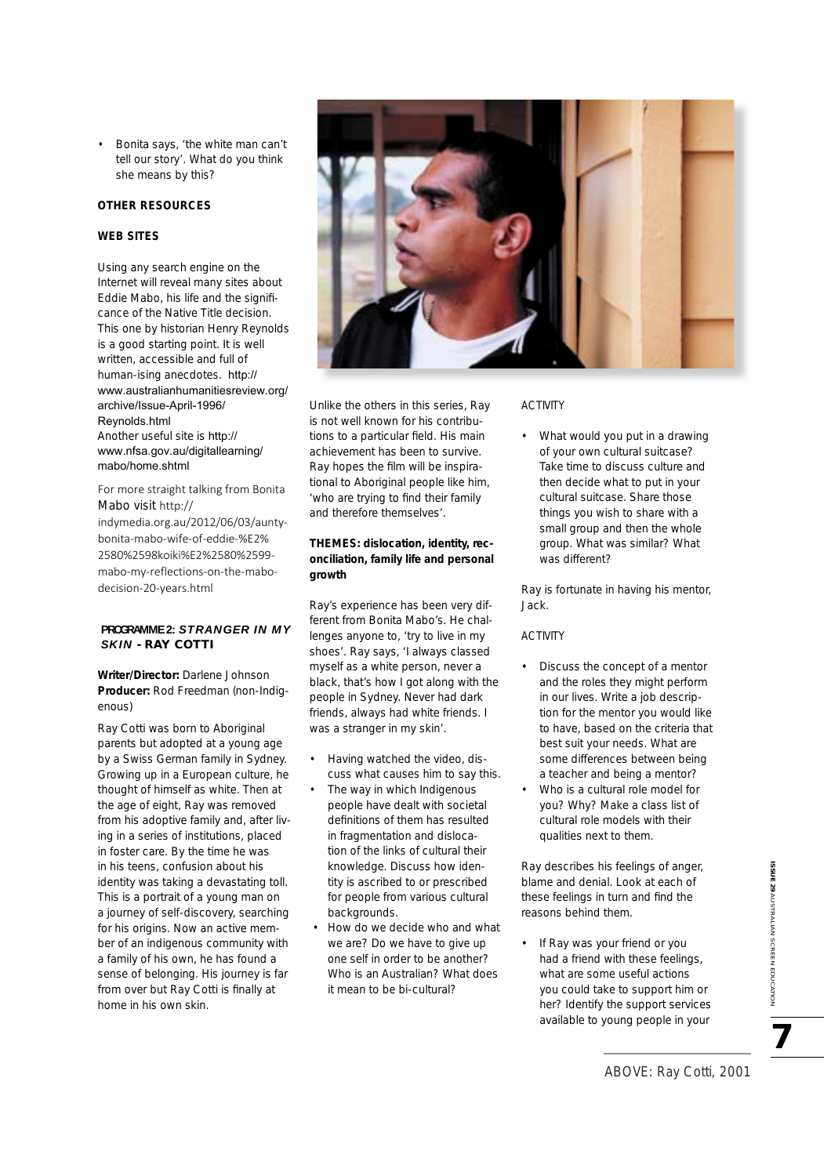• Bonita says, 'the white man can't tell our story'. What do you think she means by this?

# **OTHER RESOURCES**

# **WEB SITES**

Using any search engine on the Internet will reveal many sites about Eddie Mabo, his life and the significance of the Native Title decision. This one by historian Henry Reynolds is a good starting point. It is well written, accessible and full of human-ising anecdotes. http:// www.australianhumanitiesreview.org/ archive/Issue-April-1996/ Reynolds.html Another useful site is http:// www.nfsa.gov.au/digitallearning/ mabo/home.shtml

For more straight talking from Bonita Mabo visit http:// indymedia.org.au/2012/06/03/auntybonita-mabo-wife-of-eddie-%E2% 2580%2598koiki%E2%2580%2599 mabo-my-reflections-on-the-mabodecision-20-years.html

# **PROGRAMME 2:** *STRANGER IN MY SKIN* **- RAY COTTI**

**Writer/Director:** Darlene Johnson **Producer:** Rod Freedman (non-Indigenous)

Ray Cotti was born to Aboriginal parents but adopted at a young age by a Swiss German family in Sydney. Growing up in a European culture, he thought of himself as white. Then at the age of eight, Ray was removed from his adoptive family and, after living in a series of institutions, placed in foster care. By the time he was in his teens, confusion about his identity was taking a devastating toll. This is a portrait of a young man on a journey of self-discovery, searching for his origins. Now an active member of an indigenous community with a family of his own, he has found a sense of belonging. His journey is far from over but Ray Cotti is finally at home in his own skin.



Unlike the others in this series, Ray is not well known for his contributions to a particular field. His main achievement has been to survive. Ray hopes the film will be inspirational to Aboriginal people like him, 'who are trying to find their family and therefore themselves'.

# **THEMES: dislocation, identity, reconciliation, family life and personal growth**

Ray's experience has been very different from Bonita Mabo's. He challenges anyone to, 'try to live in my shoes'. Ray says, 'I always classed myself as a white person, never a black, that's how I got along with the people in Sydney. Never had dark friends, always had white friends. I was a stranger in my skin'.

- Having watched the video, discuss what causes him to say this.
- The way in which Indigenous people have dealt with societal definitions of them has resulted in fragmentation and dislocation of the links of cultural their knowledge. Discuss how identity is ascribed to or prescribed for people from various cultural backgrounds.
- How do we decide who and what we are? Do we have to give up one self in order to be another? Who is an Australian? What does it mean to be bi-cultural?

# ACTIVITY

What would you put in a drawing of your own cultural suitcase? Take time to discuss culture and then decide what to put in your cultural suitcase. Share those things you wish to share with a small group and then the whole group. What was similar? What was different?

Ray is fortunate in having his mentor, Jack.

#### ACTIVITY

- Discuss the concept of a mentor and the roles they might perform in our lives. Write a job description for the mentor you would like to have, based on the criteria that best suit your needs. What are some differences between being a teacher and being a mentor?
- Who is a cultural role model for you? Why? Make a class list of cultural role models with their qualities next to them.

Ray describes his feelings of anger, blame and denial. Look at each of these feelings in turn and find the reasons behind them.

If Ray was your friend or you had a friend with these feelings, what are some useful actions you could take to support him or her? Identify the support services available to young people in your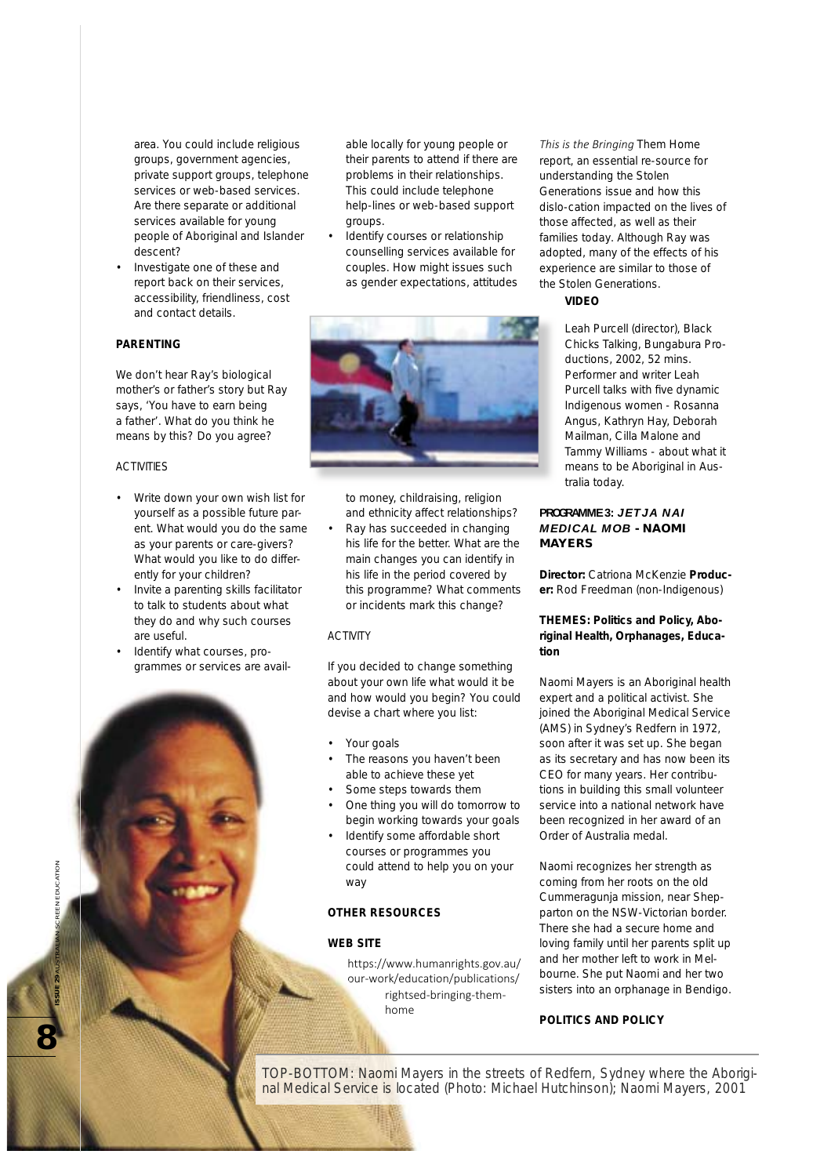area. You could include religious groups, government agencies, private support groups, telephone services or web-based services. Are there separate or additional services available for young people of Aboriginal and Islander descent?

• Investigate one of these and report back on their services, accessibility, friendliness, cost and contact details.

# **PADENTING**

We don't hear Ray's biological mother's or father's story but Ray says, 'You have to earn being a father'. What do you think he means by this? Do you agree?

#### ACTIVITIES

- Write down your own wish list for yourself as a possible future parent. What would you do the same as your parents or care-givers? What would you like to do differently for your children?
- Invite a parenting skills facilitator to talk to students about what they do and why such courses are useful.
- Identify what courses, programmes or services are avail-

able locally for young people or their parents to attend if there are problems in their relationships. This could include telephone help-lines or web-based support groups.

Identify courses or relationship counselling services available for couples. How might issues such as gender expectations, attitudes



to money, childraising, religion and ethnicity affect relationships?

• Ray has succeeded in changing his life for the better. What are the main changes you can identify in his life in the period covered by this programme? What comments or incidents mark this change?

#### ACTIVITY

If you decided to change something about your own life what would it be and how would you begin? You could devise a chart where you list:

- Your goals
- The reasons you haven't been able to achieve these yet
- Some steps towards them
- One thing you will do tomorrow to begin working towards your goals
- Identify some affordable short courses or programmes you could attend to help you on your way

#### **OTHER RESOURCES**

#### **WEB SITE**

https://www.humanrights.gov.au/ our-work/education/publications/ rightsed-bringing-themhome

*This is the Bringing Them Home* report, an essential re-source for understanding the Stolen Generations issue and how this dislo-cation impacted on the lives of those affected, as well as their families today. Although Ray was adopted, many of the effects of his experience are similar to those of the Stolen Generations.

#### **VIDEO**

Leah Purcell (director), *Black Chicks Talking*, Bungabura Productions, 2002, 52 mins. Performer and writer Leah Purcell talks with five dynamic Indigenous women - Rosanna Angus, Kathryn Hay, Deborah Mailman, Cilla Malone and Tammy Williams - about what it means to be Aboriginal in Australia today.

# **PROGRAMME 3:** *JETJA NAI MEDICAL MOB* **- NAOMI MAYERS**

**Director:** Catriona McKenzie **Producer:** Rod Freedman (non-Indigenous)

#### **THEMES: Politics and Policy, Aboriginal Health, Orphanages, Education**

Naomi Mayers is an Aboriginal health expert and a political activist. She joined the Aboriginal Medical Service (AMS) in Sydney's Redfern in 1972, soon after it was set up. She began as its secretary and has now been its CEO for many years. Her contributions in building this small volunteer service into a national network have been recognized in her award of an Order of Australia medal.

Naomi recognizes her strength as coming from her roots on the old Cummeragunja mission, near Shepparton on the NSW-Victorian border. There she had a secure home and loving family until her parents split up and her mother left to work in Melbourne. She put Naomi and her two sisters into an orphanage in Bendigo.

## **POLITICS AND POLICY**

TOP-BOTTOM: Naomi Mayers in the streets of Redfern, Sydney where the Aboriginal Medical Service is located (Photo: Michael Hutchinson); Naomi Mayers, 2001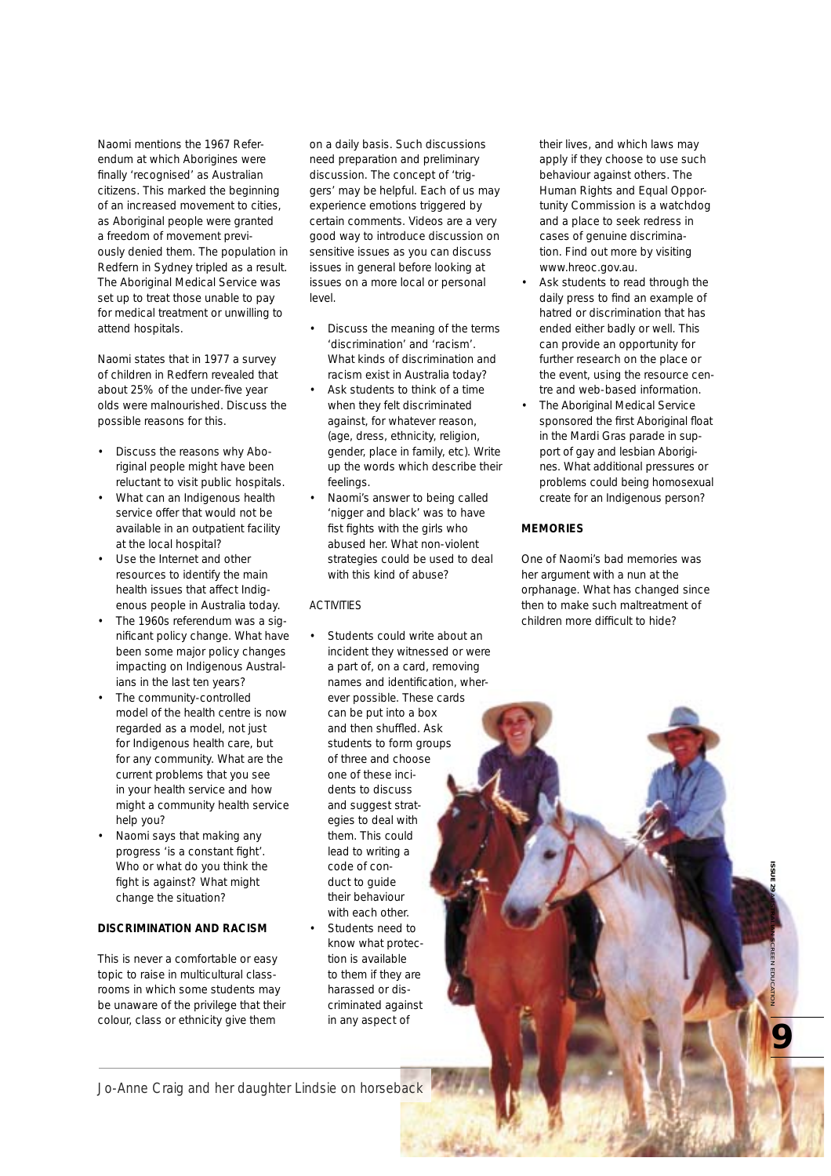Naomi mentions the 1967 Referendum at which Aborigines were finally 'recognised' as Australian citizens. This marked the beginning of an increased movement to cities, as Aboriginal people were granted a freedom of movement previously denied them. The population in Redfern in Sydney tripled as a result. The Aboriginal Medical Service was set up to treat those unable to pay for medical treatment or unwilling to attend hospitals.

Naomi states that in 1977 a survey of children in Redfern revealed that about 25% of the under-five year olds were malnourished. Discuss the possible reasons for this.

- Discuss the reasons why Aboriginal people might have been reluctant to visit public hospitals.
- What can an Indigenous health service offer that would not be available in an outpatient facility at the local hospital?
- Use the Internet and other resources to identify the main health issues that affect Indigenous people in Australia today.
- The 1960s referendum was a significant policy change. What have been some major policy changes impacting on Indigenous Australians in the last ten years?
- The community-controlled model of the health centre is now regarded as a model, not just for Indigenous health care, but for any community. What are the current problems that you see in your health service and how might a community health service help you?
- Naomi says that making any progress 'is a constant fight'. Who or what do you think the fight is against? What might change the situation?

# **DISCRIMINATION AND RACISM**

This is never a comfortable or easy topic to raise in multicultural classrooms in which some students may be unaware of the privilege that their colour, class or ethnicity give them

on a daily basis. Such discussions need preparation and preliminary discussion. The concept of 'triggers' may be helpful. Each of us may experience emotions triggered by certain comments. Videos are a very good way to introduce discussion on sensitive issues as you can discuss issues in general before looking at issues on a more local or personal level.

- Discuss the meaning of the terms 'discrimination' and 'racism'. What kinds of discrimination and racism exist in Australia today?
- Ask students to think of a time when they felt discriminated against, for whatever reason, (age, dress, ethnicity, religion, gender, place in family, etc). Write up the words which describe their feelings.
- Naomi's answer to being called 'nigger and black' was to have fist fights with the girls who abused her. What non-violent strategies could be used to deal with this kind of abuse?

# ACTIVITIES

Students could write about an incident they witnessed or were a part of, on a card, removing names and identification, wherever possible. These cards can be put into a box and then shuffled. Ask students to form groups of three and choose one of these incidents to discuss and suggest strategies to deal with them. This could lead to writing a code of conduct to guide their behaviour with each other. • Students need to know what protection is available to them if they are harassed or discriminated against in any aspect of

their lives, and which laws may apply if they choose to use such behaviour against others. The Human Rights and Equal Opportunity Commission is a watchdog and a place to seek redress in cases of genuine discrimination. Find out more by visiting www.hreoc.gov.au.

- Ask students to read through the daily press to find an example of hatred or discrimination that has ended either badly or well. This can provide an opportunity for further research on the place or the event, using the resource centre and web-based information.
- The Aboriginal Medical Service sponsored the first Aboriginal float in the Mardi Gras parade in support of gay and lesbian Aborigines. What additional pressures or problems could being homosexual create for an Indigenous person?

#### **MEMORIES**

One of Naomi's bad memories was her argument with a nun at the orphanage. What has changed since then to make such maltreatment of children more difficult to hide?

**PROFESSION SCREEN EDUCATION** 

Jo-Anne Craig and her daughter Lindsie on horseback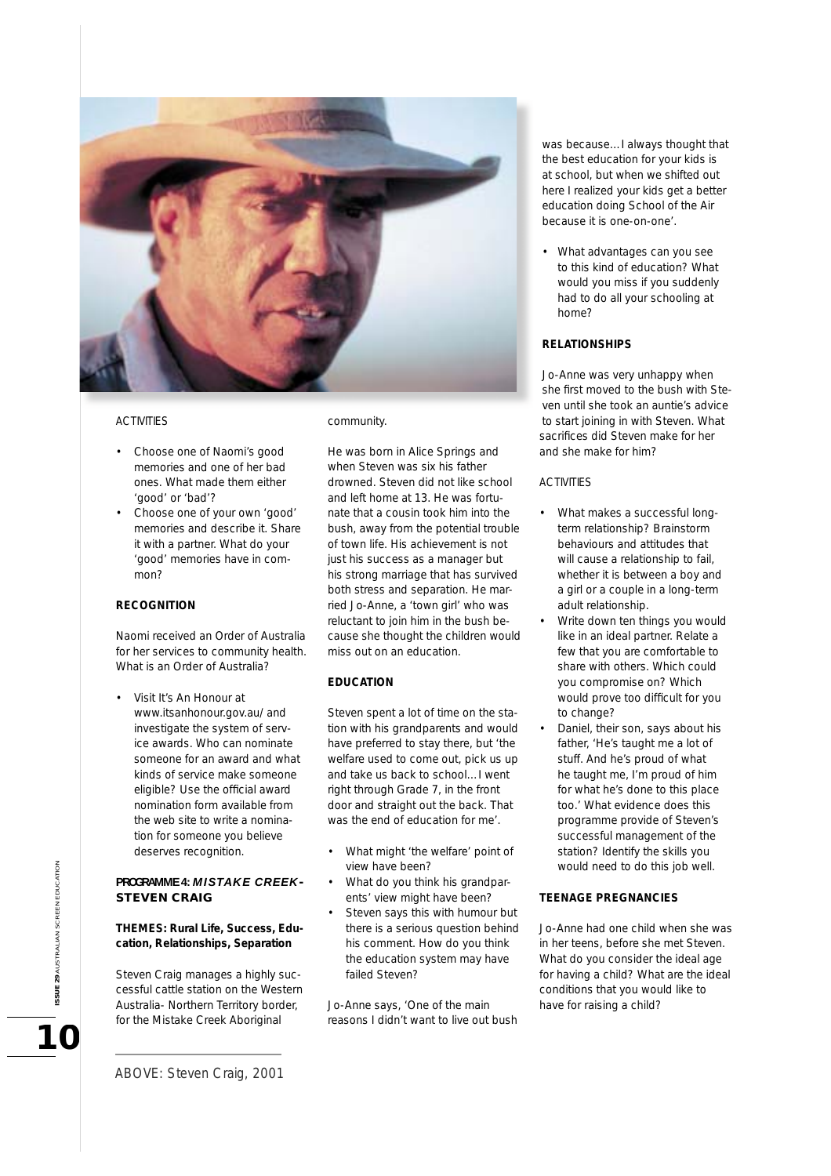

# ACTIVITIES

- Choose one of Naomi's good memories and one of her bad ones. What made them either 'good' or 'bad'?
- Choose one of your own 'good' memories and describe it. Share it with a partner. What do your 'good' memories have in common?

# **RECOGNITION**

Naomi received an Order of Australia for her services to community health. What is an Order of Australia?

• Visit It's An Honour at www.itsanhonour.gov.au/ and investigate the system of service awards. Who can nominate someone for an award and what kinds of service make someone eligible? Use the official award nomination form available from the web site to write a nomination for someone you believe deserves recognition.

# **PROGRAMME 4:** *MISTAKE CREEK***-STEVEN CRAIG**

# **THEMES: Rural Life, Success, Education, Relationships, Separation**

Steven Craig manages a highly successful cattle station on the Western Australia- Northern Territory border, for the Mistake Creek Aboriginal

community.

He was born in Alice Springs and when Steven was six his father drowned. Steven did not like school and left home at 13. He was fortunate that a cousin took him into the bush, away from the potential trouble of town life. His achievement is not just his success as a manager but his strong marriage that has survived both stress and separation. He married Jo-Anne, a 'town girl' who was reluctant to join him in the bush because she thought the children would miss out on an education.

## **EDUCATION**

Steven spent a lot of time on the station with his grandparents and would have preferred to stay there, but 'the welfare used to come out, pick us up and take us back to school…I went right through Grade 7, in the front door and straight out the back. That was the end of education for me'.

- What might 'the welfare' point of view have been?
- What do you think his grandparents' view might have been?
- Steven says this with humour but there is a serious question behind his comment. How do you think the education system may have failed Steven?

Jo-Anne says, 'One of the main reasons I didn't want to live out bush

was because…I always thought that the best education for your kids is at school, but when we shifted out here I realized your kids get a better education doing School of the Air because it is one-on-one'.

• What advantages can you see to this kind of education? What would you miss if you suddenly had to do all your schooling at home?

# **RELATIONSHIPS**

Jo-Anne was very unhappy when she first moved to the bush with Steven until she took an auntie's advice to start joining in with Steven. What sacrifices did Steven make for her and she make for him?

# ACTIVITIES

- What makes a successful longterm relationship? Brainstorm behaviours and attitudes that will cause a relationship to fail, whether it is between a boy and a girl or a couple in a long-term adult relationship.
- Write down ten things you would like in an ideal partner. Relate a few that you are comfortable to share with others. Which could you compromise on? Which would prove too difficult for you to change?
- Daniel, their son, says about his father, 'He's taught me a lot of stuff. And he's proud of what he taught me, I'm proud of him for what he's done to this place too.' What evidence does this programme provide of Steven's successful management of the station? Identify the skills you would need to do this job well.

#### **TEENAGE PREGNANCIES**

Jo-Anne had one child when she was in her teens, before she met Steven. What do you consider the ideal age for having a child? What are the ideal conditions that you would like to have for raising a child?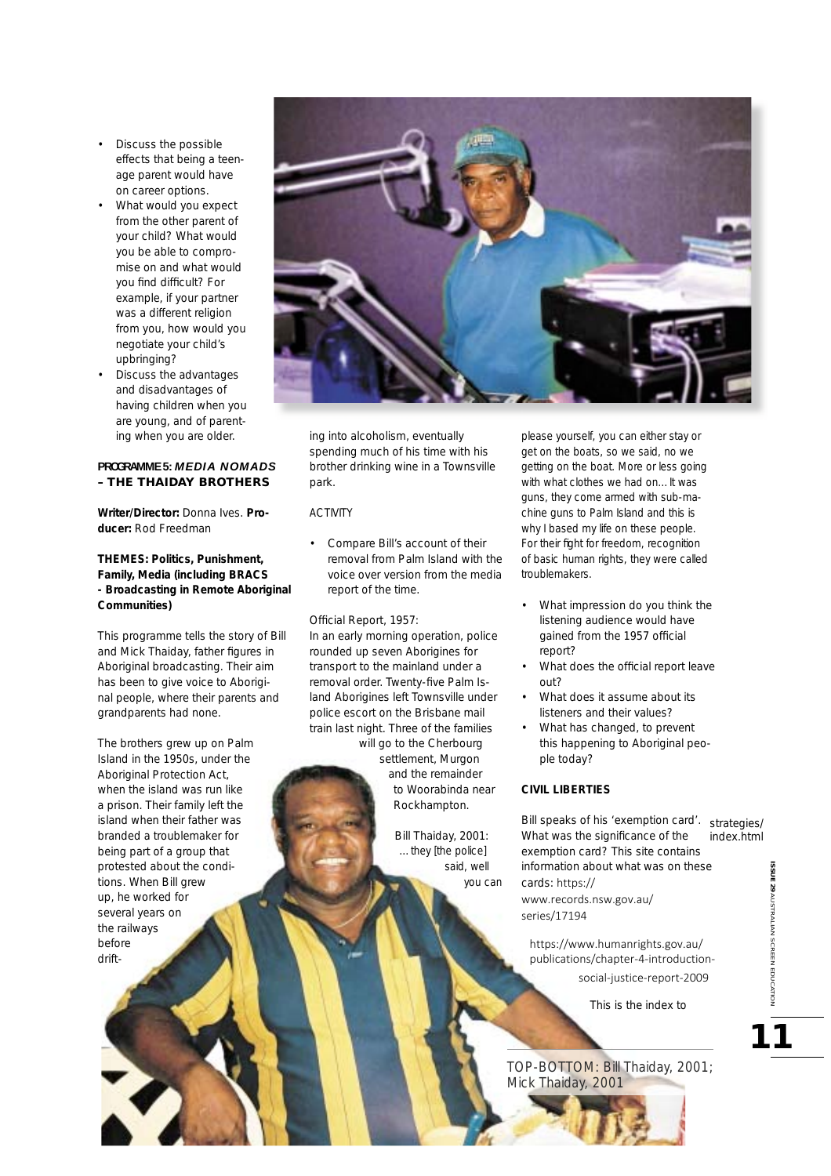- Discuss the possible effects that being a teenage parent would have on career options.
- What would you expect from the other parent of your child? What would you be able to compromise on and what would you find difficult? For example, if your partner was a different religion from you, how would you negotiate your child's upbringing?
- Discuss the advantages and disadvantages of having children when you are young, and of parenting when you are older.

# **PROGRAMME 5:** *MEDIA NOMADS* **– THE THAIDAY BROTHERS**

**Writer/Director:** Donna Ives. **Producer:** Rod Freedman

**THEMES: Politics, Punishment, Family, Media (including BRACS - Broadcasting in Remote Aboriginal Communities)**

This programme tells the story of Bill and Mick Thaiday, father figures in Aboriginal broadcasting. Their aim has been to give voice to Aboriginal people, where their parents and grandparents had none.

The brothers grew up on Palm Island in the 1950s, under the Aboriginal Protection Act, when the island was run like a prison. Their family left the island when their father was branded a troublemaker for being part of a group that protested about the conditions. When Bill grew up, he worked for several years on the railways before drift-



ing into alcoholism, eventually spending much of his time with his brother drinking wine in a Townsville park.

#### ACTIVITY

• Compare Bill's account of their removal from Palm Island with the voice over version from the media report of the time.

Official Report, 1957:

In an early morning operation, police rounded up seven Aborigines for transport to the mainland under a removal order. Twenty-five Palm Island Aborigines left Townsville under police escort on the Brisbane mail train last night. Three of the families will go to the Cherbourg

settlement, Murgon and the remainder to Woorabinda near Rockhampton.

> Bill Thaiday, 2001: *…they [the police] said, well you can*

*please yourself, you can either stay or get on the boats, so we said, no we getting on the boat. More or less going with what clothes we had on…It was guns, they come armed with sub-machine guns to Palm Island and this is why I based my life on these people.*  For their fight for freedom, recognition *of basic human rights, they were called troublemakers.*

- What impression do you think the listening audience would have gained from the 1957 official report?
- What does the official report leave out?
- What does it assume about its listeners and their values?
- What has changed, to prevent this happening to Aboriginal people today?

# **CIVIL LIBERTIES**

Bill speaks of his 'exemption card'. strategies/ What was the significance of the exemption card? This site contains information about what was on these cards: https:// www.records.nsw.gov.au/ series/17194 index.html

https://www.humanrights.gov.au/ publications/chapter-4-introductionsocial-justice-report-2009

This is the index to

TOP-BOTTOM: Bill Thaiday, 2001; Mick Thaiday, 2001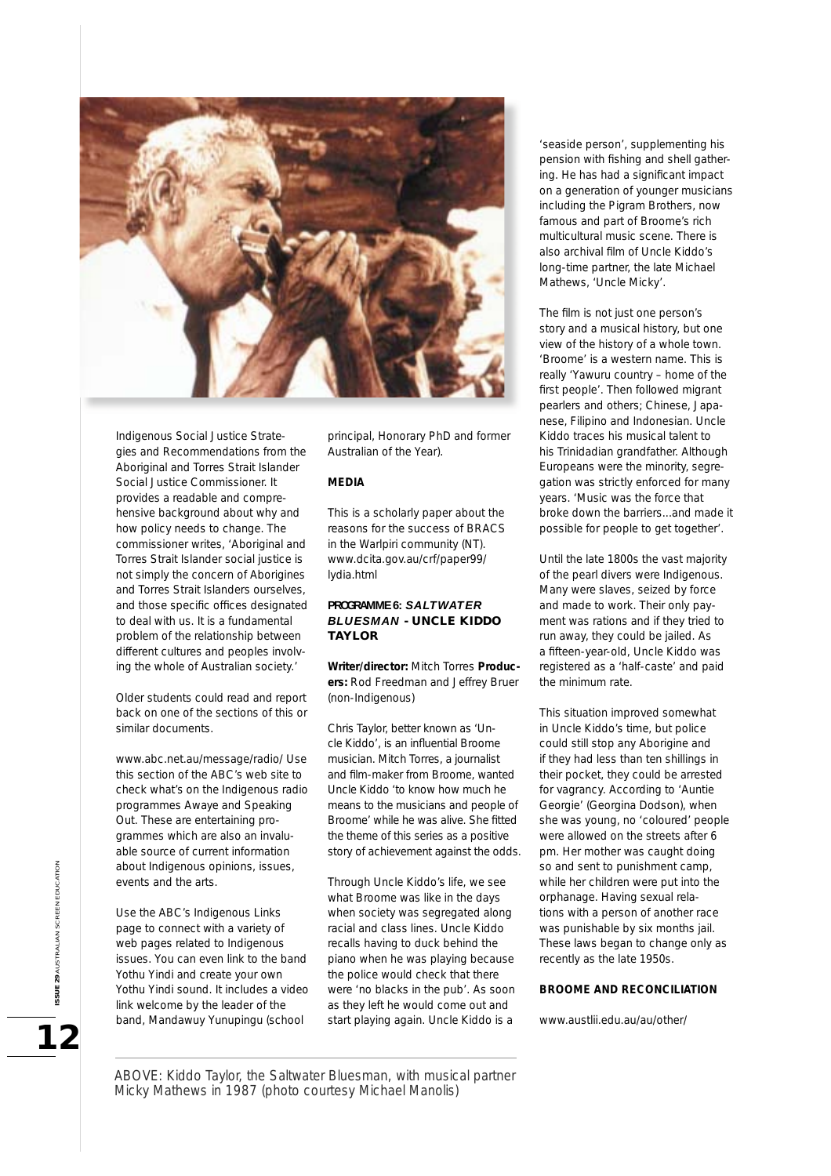

Indigenous Social Justice Strategies and Recommendations from the Aboriginal and Torres Strait Islander Social Justice Commissioner. It provides a readable and comprehensive background about why and how policy needs to change. The commissioner writes, 'Aboriginal and Torres Strait Islander social justice is not simply the concern of Aborigines and Torres Strait Islanders ourselves, and those specific offices designated to deal with us. It is a fundamental problem of the relationship between different cultures and peoples involving the whole of Australian society.'

Older students could read and report back on one of the sections of this or similar documents.

www.abc.net.au/message/radio/ Use this section of the ABC's web site to check what's on the Indigenous radio programmes *Awaye* and *Speaking Out.* These are entertaining programmes which are also an invaluable source of current information about Indigenous opinions, issues, events and the arts.

Use the ABC's Indigenous Links page to connect with a variety of web pages related to Indigenous issues. You can even link to the band Yothu Yindi and create your own Yothu Yindi sound. It includes a video link welcome by the leader of the band, Mandawuy Yunupingu (school

principal, Honorary PhD and former Australian of the Year).

# **MEDIA**

This is a scholarly paper about the reasons for the success of BRACS in the Warlpiri community (NT). www.dcita.gov.au/crf/paper99/ lydia.html

# **PROGRAMME 6:** *SALTWATER BLUESMAN* **- UNCLE KIDDO TAYLOR**

**Writer/director:** Mitch Torres **Producers:** Rod Freedman and Jeffrey Bruer (non-Indigenous)

Chris Taylor, better known as 'Uncle Kiddo', is an influential Broome musician. Mitch Torres, a journalist and film-maker from Broome, wanted Uncle Kiddo 'to know how much he means to the musicians and people of Broome' while he was alive. She fitted the theme of this series as a positive story of achievement against the odds.

Through Uncle Kiddo's life, we see what Broome was like in the days when society was segregated along racial and class lines. Uncle Kiddo recalls having to duck behind the piano when he was playing because the police would check that there were 'no blacks in the pub'. As soon as they left he would come out and start playing again. Uncle Kiddo is a

'seaside person', supplementing his pension with fishing and shell gathering. He has had a significant impact on a generation of younger musicians including the Pigram Brothers, now famous and part of Broome's rich multicultural music scene. There is also archival film of Uncle Kiddo's long-time partner, the late Michael Mathews, 'Uncle Micky'.

The film is not just one person's story and a musical history, but one view of the history of a whole town. 'Broome' is a western name. This is really 'Yawuru country – home of the first people'. Then followed migrant pearlers and others; Chinese, Japanese, Filipino and Indonesian. Uncle Kiddo traces his musical talent to his Trinidadian grandfather. Although Europeans were the minority, segregation was strictly enforced for many years. 'Music was the force that broke down the barriers...and made it possible for people to get together'.

Until the late 1800s the vast majority of the pearl divers were Indigenous. Many were slaves, seized by force and made to work. Their only payment was rations and if they tried to run away, they could be jailed. As a fifteen-year-old, Uncle Kiddo was registered as a 'half-caste' and paid the minimum rate.

This situation improved somewhat in Uncle Kiddo's time, but police could still stop any Aborigine and if they had less than ten shillings in their pocket, they could be arrested for vagrancy. According to 'Auntie Georgie' (Georgina Dodson), when she was young, no 'coloured' people were allowed on the streets after 6 pm. Her mother was caught doing so and sent to punishment camp, while her children were put into the orphanage. Having sexual relations with a person of another race was punishable by six months jail. These laws began to change only as recently as the late 1950s.

#### **BROOME AND RECONCILIATION**

www.austlii.edu.au/au/other/

ABOVE: Kiddo Taylor, the Saltwater Bluesman, with musical partner Micky Mathews in 1987 (photo courtesy Michael Manolis)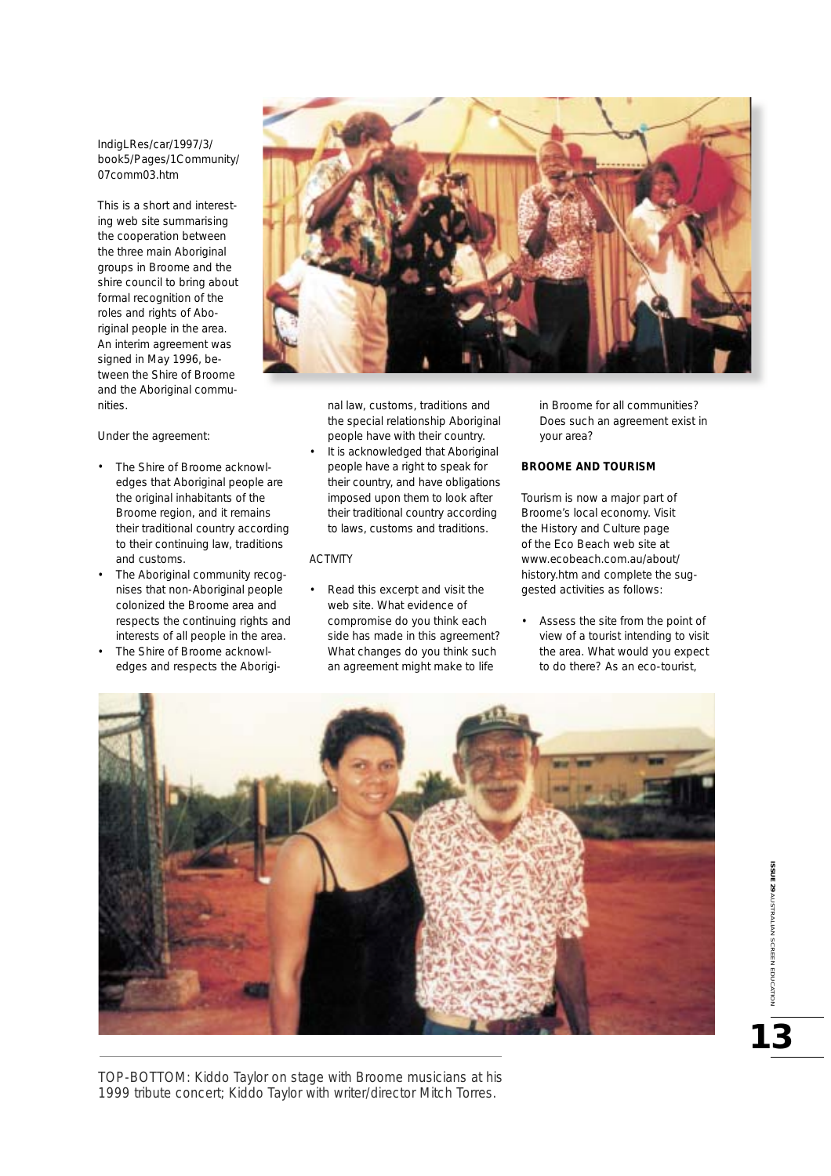IndigLRes/car/1997/3/ book5/Pages/1Community/ 07comm03.htm

This is a short and interesting web site summarising the cooperation between the three main Aboriginal groups in Broome and the shire council to bring about formal recognition of the roles and rights of Aboriginal people in the area. An interim agreement was signed in May 1996, between the Shire of Broome and the Aboriginal communities.

Under the agreement:

- The Shire of Broome acknowledges that Aboriginal people are the original inhabitants of the Broome region, and it remains their traditional country according to their continuing law, traditions and customs.
- The Aboriginal community recognises that non-Aboriginal people colonized the Broome area and respects the continuing rights and interests of all people in the area.
- The Shire of Broome acknowledges and respects the Aborigi-



nal law, customs, traditions and the special relationship Aboriginal people have with their country. It is acknowledged that Aboriginal

people have a right to speak for their country, and have obligations imposed upon them to look after their traditional country according to laws, customs and traditions.

#### ACTIVITY

• Read this excerpt and visit the web site. What evidence of compromise do you think each side has made in this agreement? What changes do you think such an agreement might make to life

in Broome for all communities? Does such an agreement exist in your area?

# **BROOME AND TOURISM**

Tourism is now a major part of Broome's local economy. Visit the History and Culture page of the Eco Beach web site at www.ecobeach.com.au/about/ history.htm and complete the suggested activities as follows:

• Assess the site from the point of view of a tourist intending to visit the area. What would you expect to do there? As an eco-tourist,



TOP-BOTTOM: Kiddo Taylor on stage with Broome musicians at his 1999 tribute concert; Kiddo Taylor with writer/director Mitch Torres.